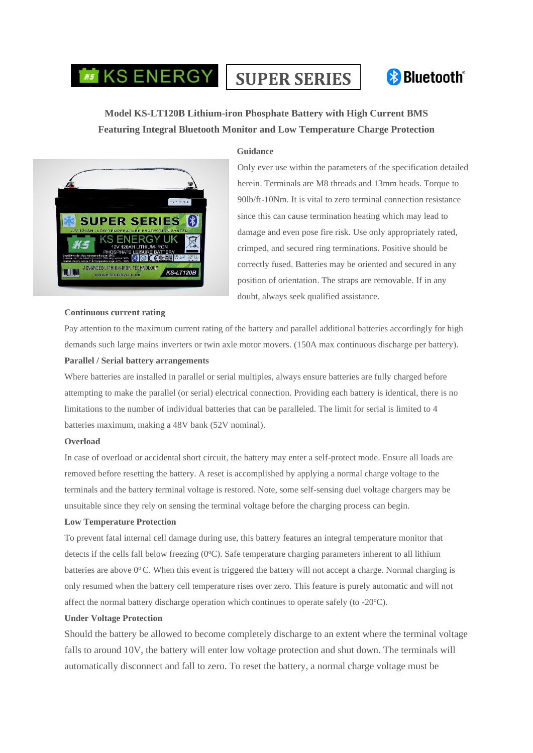# **SUPER SERIES**



## **Model KS-LT120B Lithium-iron Phosphate Battery with High Current BMS Featuring Integral Bluetooth Monitor and Low Temperature Charge Protection**



#### **Guidance**

Only ever use within the parameters of the specification detailed herein. Terminals are M8 threads and 13mm heads. Torque to 90lb/ft-10Nm. It is vital to zero terminal connection resistance since this can cause termination heating which may lead to damage and even pose fire risk. Use only appropriately rated, crimped, and secured ring terminations. Positive should be correctly fused. Batteries may be oriented and secured in any position of orientation. The straps are removable. If in any doubt, always seek qualified assistance.

#### **Continuous current rating**

Pay attention to the maximum current rating of the battery and parallel additional batteries accordingly for high demands such large mains inverters or twin axle motor movers. (150A max continuous discharge per battery). **Parallel / Serial battery arrangements**

Where batteries are installed in parallel or serial multiples, always ensure batteries are fully charged before attempting to make the parallel (or serial) electrical connection. Providing each battery is identical, there is no limitations to the number of individual batteries that can be paralleled. The limit for serial is limited to 4 batteries maximum, making a 48V bank (52V nominal).

#### **Overload**

In case of overload or accidental short circuit, the battery may enter a self-protect mode. Ensure all loads are removed before resetting the battery. A reset is accomplished by applying a normal charge voltage to the terminals and the battery terminal voltage is restored. Note, some self-sensing duel voltage chargers may be unsuitable since they rely on sensing the terminal voltage before the charging process can begin.

#### **Low Temperature Protection**

To prevent fatal internal cell damage during use, this battery features an integral temperature monitor that detects if the cells fall below freezing  $(0^{\circ}C)$ . Safe temperature charging parameters inherent to all lithium batteries are above 0°C. When this event is triggered the battery will not accept a charge. Normal charging is only resumed when the battery cell temperature rises over zero. This feature is purely automatic and will not affect the normal battery discharge operation which continues to operate safely (to  $-20^{\circ}$ C).

#### **Under Voltage Protection**

Should the battery be allowed to become completely discharge to an extent where the terminal voltage falls to around 10V, the battery will enter low voltage protection and shut down. The terminals will automatically disconnect and fall to zero. To reset the battery, a normal charge voltage must be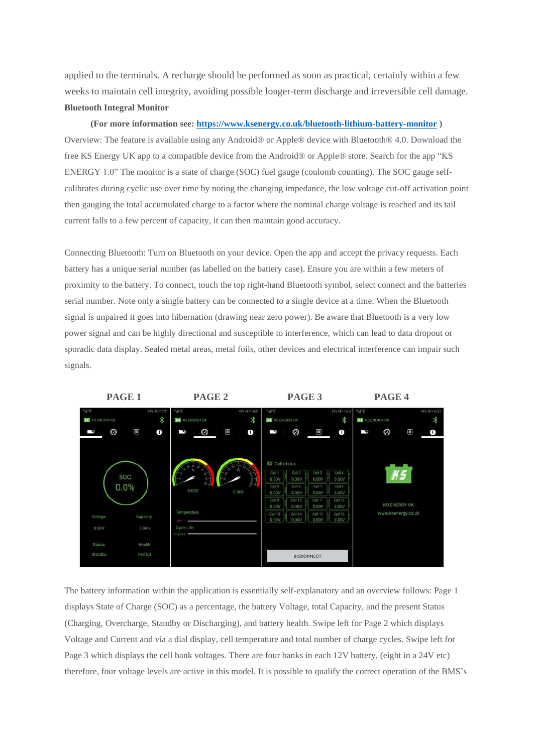applied to the terminals. A recharge should be performed as soon as practical, certainly within a few weeks to maintain cell integrity, avoiding possible longer-term discharge and irreversible cell damage. **Bluetooth Integral Monitor**

**(For more information see: <https://www.ksenergy.co.uk/bluetooth-lithium-battery-monitor> )** Overview: The feature is available using any Android® or Apple® device with Bluetooth® 4.0. Download the free KS Energy UK app to a compatible device from the Android® or Apple® store. Search for the app "KS ENERGY 1.0" The monitor is a state of charge (SOC) fuel gauge (coulomb counting). The SOC gauge selfcalibrates during cyclic use over time by noting the changing impedance, the low voltage cut-off activation point then gauging the total accumulated charge to a factor where the nominal charge voltage is reached and its tail current falls to a few percent of capacity, it can then maintain good accuracy.

Connecting Bluetooth: Turn on Bluetooth on your device. Open the app and accept the privacy requests. Each battery has a unique serial number (as labelled on the battery case). Ensure you are within a few meters of proximity to the battery. To connect, touch the top right-hand Bluetooth symbol, select connect and the batteries serial number. Note only a single battery can be connected to a single device at a time. When the Bluetooth signal is unpaired it goes into hibernation (drawing near zero power). Be aware that Bluetooth is a very low power signal and can be highly directional and susceptible to interference, which can lead to data dropout or sporadic data display. Sealed metal areas, metal foils, other devices and electrical interference can impair such signals.



The battery information within the application is essentially self-explanatory and an overview follows: Page 1 displays State of Charge (SOC) as a percentage, the battery Voltage, total Capacity, and the present Status (Charging, Overcharge, Standby or Discharging), and battery health. Swipe left for Page 2 which displays Voltage and Current and via a dial display, cell temperature and total number of charge cycles. Swipe left for Page 3 which displays the cell bank voltages. There are four banks in each 12V battery, (eight in a 24V etc) therefore, four voltage levels are active in this model. It is possible to qualify the correct operation of the BMS's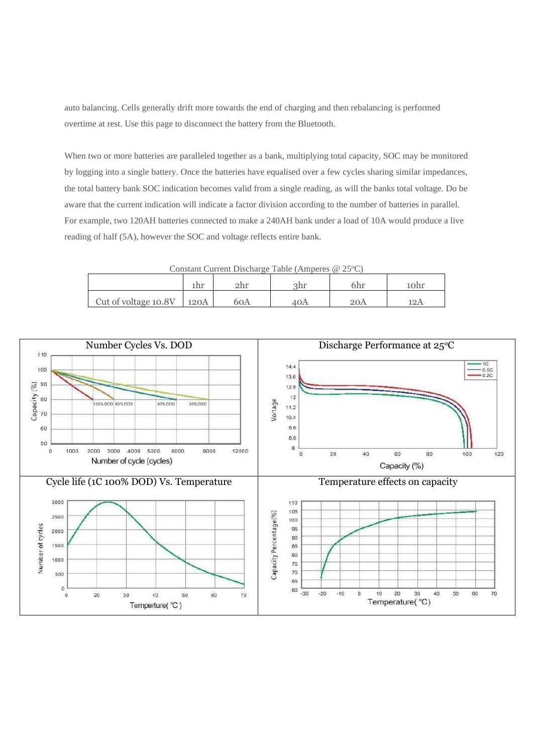auto balancing. Cells generally drift more towards the end of charging and then rebalancing is performed overtime at rest. Use this page to disconnect the battery from the Bluetooth.

When two or more batteries are paralleled together as a bank, multiplying total capacity, SOC may be monitored by logging into a single battery. Once the batteries have equalised over a few cycles sharing similar impedances, the total battery bank SOC indication becomes valid from a single reading, as will the banks total voltage. Do be aware that the current indication will indicate a factor division according to the number of batteries in parallel. For example, two 120AH batteries connected to make a 240AH bank under a load of 10A would produce a live reading of half (5A), however the SOC and voltage reflects entire bank.

Constant Current Discharge Table (Amperes  $@ 25°C$ )

|                      |      |     | əhr |  |
|----------------------|------|-----|-----|--|
| Cut of voltage 10.8V | 120A | 60A |     |  |